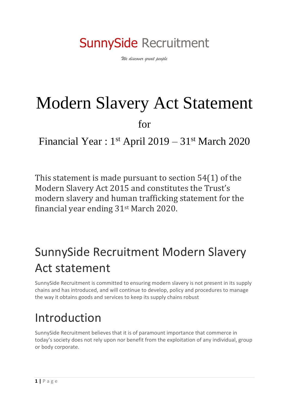## SunnySide Recruitment

*We discover great people*

# Modern Slavery Act Statement

for

Financial Year: 1<sup>st</sup> April 2019 – 31<sup>st</sup> March 2020

This statement is made pursuant to section 54(1) of the Modern Slavery Act 2015 and constitutes the Trust's modern slavery and human trafficking statement for the financial year ending 31st March 2020.

#### SunnySide Recruitment Modern Slavery Act statement

SunnySide Recruitment is committed to ensuring modern slavery is not present in its supply chains and has introduced, and will continue to develop, policy and procedures to manage the way it obtains goods and services to keep its supply chains robust

#### Introduction

SunnySide Recruitment believes that it is of paramount importance that commerce in today's society does not rely upon nor benefit from the exploitation of any individual, group or body corporate.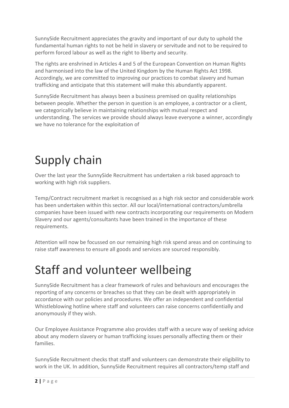SunnySide Recruitment appreciates the gravity and important of our duty to uphold the fundamental human rights to not be held in slavery or servitude and not to be required to perform forced labour as well as the right to liberty and security.

The rights are enshrined in Articles 4 and 5 of the European Convention on Human Rights and harmonised into the law of the United Kingdom by the Human Rights Act 1998. Accordingly, we are committed to improving our practices to combat slavery and human trafficking and anticipate that this statement will make this abundantly apparent.

SunnySide Recruitment has always been a business premised on quality relationships between people. Whether the person in question is an employee, a contractor or a client, we categorically believe in maintaining relationships with mutual respect and understanding. The services we provide should always leave everyone a winner, accordingly we have no tolerance for the exploitation of

### Supply chain

Over the last year the SunnySide Recruitment has undertaken a risk based approach to working with high risk suppliers.

Temp/Contract recruitment market is recognised as a high risk sector and considerable work has been undertaken within this sector. All our local/international contractors/umbrella companies have been issued with new contracts incorporating our requirements on Modern Slavery and our agents/consultants have been trained in the importance of these requirements.

Attention will now be focussed on our remaining high risk spend areas and on continuing to raise staff awareness to ensure all goods and services are sourced responsibly.

#### Staff and volunteer wellbeing

SunnySide Recruitment has a clear framework of rules and behaviours and encourages the reporting of any concerns or breaches so that they can be dealt with appropriately in accordance with our policies and procedures. We offer an independent and confidential Whistleblowing hotline where staff and volunteers can raise concerns confidentially and anonymously if they wish.

Our Employee Assistance Programme also provides staff with a secure way of seeking advice about any modern slavery or human trafficking issues personally affecting them or their families.

SunnySide Recruitment checks that staff and volunteers can demonstrate their eligibility to work in the UK. In addition, SunnySide Recruitment requires all contractors/temp staff and